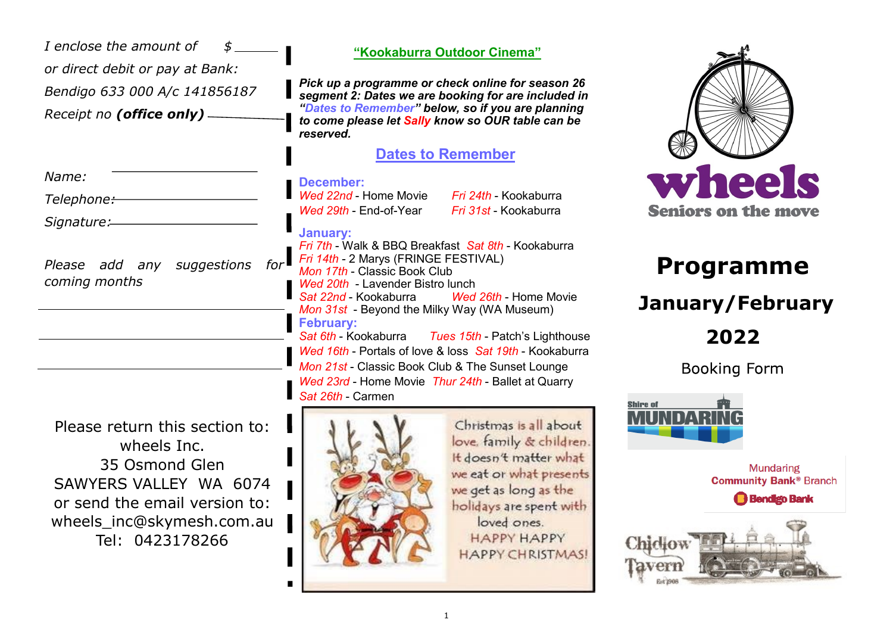| I enclose the amount of                                                                                                                                                    | "Kookaburra Outdoor Cinema"                                                                                                                                                                                                                                                             |
|----------------------------------------------------------------------------------------------------------------------------------------------------------------------------|-----------------------------------------------------------------------------------------------------------------------------------------------------------------------------------------------------------------------------------------------------------------------------------------|
| or direct debit or pay at Bank:<br>Bendigo 633 000 A/c 141856187<br>Receipt no (office only) -                                                                             | Pick up a programme or check online for season 26<br>segment 2: Dates we are booking for are included in<br>"Dates to Remember" below, so if you are planning<br>to come please let Sally know so OUR table can be<br>reserved.                                                         |
|                                                                                                                                                                            | <b>Dates to Remember</b>                                                                                                                                                                                                                                                                |
| Name:<br>Telephone:-                                                                                                                                                       | <b>December:</b><br>Wed 22nd - Home Movie<br><i>Fri 24th</i> - Kookaburra<br>Wed 29th - End-of-Year<br>Fri 31st - Kookaburra                                                                                                                                                            |
| Signature:<br>suggestions<br>Please add<br>any<br>coming months                                                                                                            | <b>January:</b><br>Fri 7th - Walk & BBQ Breakfast Sat 8th - Kookaburra<br>for Fri 14th - 2 Marys (FRINGE FESTIVAL)<br>Mon 17th - Classic Book Club<br>Wed 20th - Lavender Bistro lunch<br>Wed 26th - Home Movie<br>Sat 22nd - Kookaburra<br>Mon 31st - Beyond the Milky Way (WA Museum) |
|                                                                                                                                                                            | <b>February:</b><br>Sat 6th - Kookaburra<br>Tues 15th - Patch's Lighthouse<br>Wed 16th - Portals of love & loss Sat 19th - Kookaburra<br>Mon 21st - Classic Book Club & The Sunset Lounge<br>Wed 23rd - Home Movie Thur 24th - Ballet at Quarry<br>Sat 26th - Carmen                    |
| Please return this section to:<br>wheels Inc.<br>35 Osmond Glen<br>SAWYERS VALLEY WA 6074<br>or send the email version to:<br>wheels_inc@skymesh.com.au<br>Tel: 0423178266 | Christmas is all about<br>love, family & children.<br>It doesn't matter what<br>we eat or what presents<br>we get as long as the<br>holidays are spent with<br>loved ones.<br><b>HAPPY HAPPY</b><br><b>HAPPY CHRISTMAS!</b>                                                             |

 $\blacksquare$ 



# **Programme**

### **January/February**

**2022**

**Booking Form**